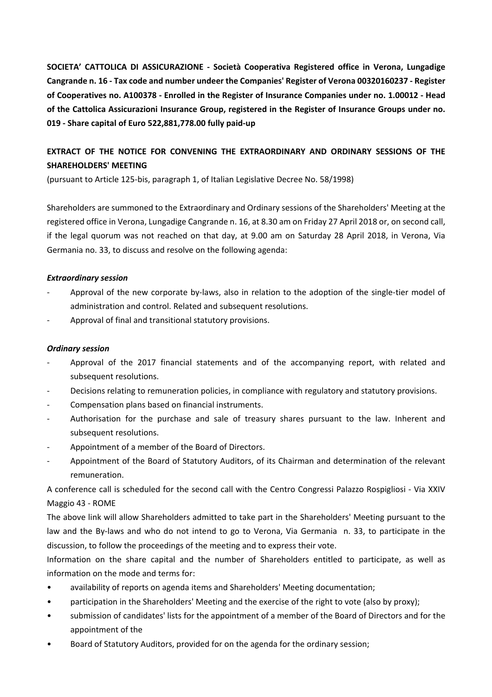**SOCIETA' CATTOLICA DI ASSICURAZIONE ‐ Società Cooperativa Registered office in Verona, Lungadige Cangrande n. 16 ‐ Tax code and number undeer the Companies' Register of Verona 00320160237 ‐ Register of Cooperatives no. A100378 ‐ Enrolled in the Register of Insurance Companies under no. 1.00012 ‐ Head of the Cattolica Assicurazioni Insurance Group, registered in the Register of Insurance Groups under no. 019 ‐ Share capital of Euro 522,881,778.00 fully paid‐up** 

## **EXTRACT OF THE NOTICE FOR CONVENING THE EXTRAORDINARY AND ORDINARY SESSIONS OF THE SHAREHOLDERS' MEETING**

(pursuant to Article 125‐bis, paragraph 1, of Italian Legislative Decree No. 58/1998)

Shareholders are summoned to the Extraordinary and Ordinary sessions of the Shareholders' Meeting at the registered office in Verona, Lungadige Cangrande n. 16, at 8.30 am on Friday 27 April 2018 or, on second call, if the legal quorum was not reached on that day, at 9.00 am on Saturday 28 April 2018, in Verona, Via Germania no. 33, to discuss and resolve on the following agenda:

## *Extraordinary session*

- Approval of the new corporate by-laws, also in relation to the adoption of the single-tier model of administration and control. Related and subsequent resolutions.
- ‐ Approval of final and transitional statutory provisions.

## *Ordinary session*

- Approval of the 2017 financial statements and of the accompanying report, with related and subsequent resolutions.
- ‐ Decisions relating to remuneration policies, in compliance with regulatory and statutory provisions.
- ‐ Compensation plans based on financial instruments.
- ‐ Authorisation for the purchase and sale of treasury shares pursuant to the law. Inherent and subsequent resolutions.
- ‐ Appointment of a member of the Board of Directors.
- ‐ Appointment of the Board of Statutory Auditors, of its Chairman and determination of the relevant remuneration.

A conference call is scheduled for the second call with the Centro Congressi Palazzo Rospigliosi ‐ Via XXIV Maggio 43 ‐ ROME

The above link will allow Shareholders admitted to take part in the Shareholders' Meeting pursuant to the law and the By-laws and who do not intend to go to Verona, Via Germania n. 33, to participate in the discussion, to follow the proceedings of the meeting and to express their vote.

Information on the share capital and the number of Shareholders entitled to participate, as well as information on the mode and terms for:

- availability of reports on agenda items and Shareholders' Meeting documentation;
- participation in the Shareholders' Meeting and the exercise of the right to vote (also by proxy);
- submission of candidates' lists for the appointment of a member of the Board of Directors and for the appointment of the
- Board of Statutory Auditors, provided for on the agenda for the ordinary session;